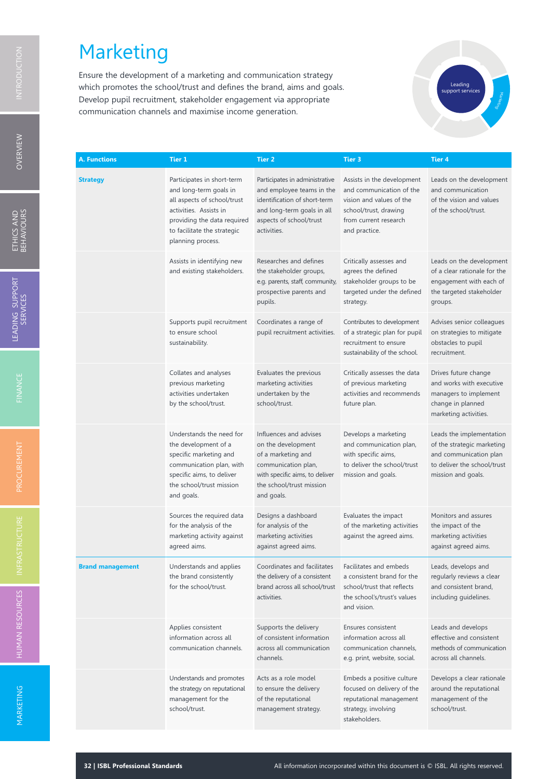Ensure the development of a marketing and communication strategy which promotes the school/trust and defines the brand, aims and goals. Develop pupil recruitment, stakeholder engagement via appropriate communication channels and maximise income generation.



| A. Functions            | Tier 1                                                                                                                                                                                           | <b>Tier 2</b>                                                                                                                                                         | Tier 3                                                                                                                                                | <b>Tier 4</b>                                                                                                                         |
|-------------------------|--------------------------------------------------------------------------------------------------------------------------------------------------------------------------------------------------|-----------------------------------------------------------------------------------------------------------------------------------------------------------------------|-------------------------------------------------------------------------------------------------------------------------------------------------------|---------------------------------------------------------------------------------------------------------------------------------------|
| <b>Strategy</b>         | Participates in short-term<br>and long-term goals in<br>all aspects of school/trust<br>activities. Assists in<br>providing the data required<br>to facilitate the strategic<br>planning process. | Participates in administrative<br>and employee teams in the<br>identification of short-term<br>and long-term goals in all<br>aspects of school/trust<br>activities.   | Assists in the development<br>and communication of the<br>vision and values of the<br>school/trust, drawing<br>from current research<br>and practice. | Leads on the development<br>and communication<br>of the vision and values<br>of the school/trust.                                     |
|                         | Assists in identifying new<br>and existing stakeholders.                                                                                                                                         | Researches and defines<br>the stakeholder groups,<br>e.g. parents, staff, community,<br>prospective parents and<br>pupils.                                            | Critically assesses and<br>agrees the defined<br>stakeholder groups to be<br>targeted under the defined<br>strategy.                                  | Leads on the development<br>of a clear rationale for the<br>engagement with each of<br>the targeted stakeholder<br>groups.            |
|                         | Supports pupil recruitment<br>to ensure school<br>sustainability.                                                                                                                                | Coordinates a range of<br>pupil recruitment activities.                                                                                                               | Contributes to development<br>of a strategic plan for pupil<br>recruitment to ensure<br>sustainability of the school.                                 | Advises senior colleagues<br>on strategies to mitigate<br>obstacles to pupil<br>recruitment.                                          |
|                         | Collates and analyses<br>previous marketing<br>activities undertaken<br>by the school/trust.                                                                                                     | Evaluates the previous<br>marketing activities<br>undertaken by the<br>school/trust.                                                                                  | Critically assesses the data<br>of previous marketing<br>activities and recommends<br>future plan.                                                    | Drives future change<br>and works with executive<br>managers to implement<br>change in planned<br>marketing activities.               |
|                         | Understands the need for<br>the development of a<br>specific marketing and<br>communication plan, with<br>specific aims, to deliver<br>the school/trust mission<br>and goals.                    | Influences and advises<br>on the development<br>of a marketing and<br>communication plan,<br>with specific aims, to deliver<br>the school/trust mission<br>and goals. | Develops a marketing<br>and communication plan,<br>with specific aims,<br>to deliver the school/trust<br>mission and goals.                           | Leads the implementation<br>of the strategic marketing<br>and communication plan<br>to deliver the school/trust<br>mission and goals. |
|                         | Sources the required data<br>for the analysis of the<br>marketing activity against<br>agreed aims.                                                                                               | Designs a dashboard<br>for analysis of the<br>marketing activities<br>against agreed aims.                                                                            | Evaluates the impact<br>of the marketing activities<br>against the agreed aims.                                                                       | Monitors and assures<br>the impact of the<br>marketing activities<br>against agreed aims.                                             |
| <b>Brand management</b> | Understands and applies<br>the brand consistently<br>for the school/trust.                                                                                                                       | Coordinates and facilitates<br>the delivery of a consistent<br>brand across all school/trust<br>activities.                                                           | Facilitates and embeds<br>a consistent brand for the<br>school/trust that reflects<br>the school's/trust's values<br>and vision.                      | Leads, develops and<br>regularly reviews a clear<br>and consistent brand,<br>including guidelines.                                    |
|                         | Applies consistent<br>information across all<br>communication channels.                                                                                                                          | Supports the delivery<br>of consistent information<br>across all communication<br>channels.                                                                           | Ensures consistent<br>information across all<br>communication channels,<br>e.g. print, website, social.                                               | Leads and develops<br>effective and consistent<br>methods of communication<br>across all channels.                                    |
|                         | Understands and promotes<br>the strategy on reputational<br>management for the<br>school/trust.                                                                                                  | Acts as a role model<br>to ensure the delivery<br>of the reputational<br>management strategy.                                                                         | Embeds a positive culture<br>focused on delivery of the<br>reputational management<br>strategy, involving<br>stakeholders.                            | Develops a clear rationale<br>around the reputational<br>management of the<br>school/trust.                                           |

 $\Xi$ 

INFRASTRUCTURE

HUM A NM ARKETIN G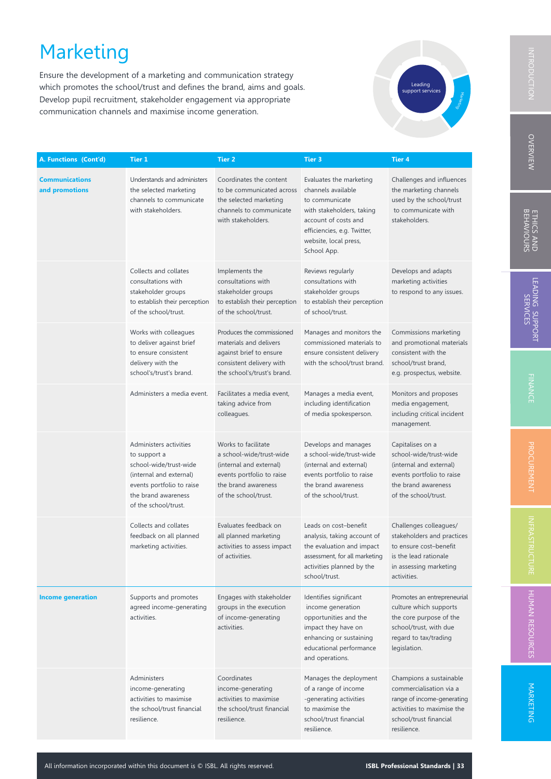Ensure the development of a marketing and communication strategy which promotes the school/trust and defines the brand, aims and goals. Develop pupil recruitment, stakeholder engagement via appropriate communication channels and maximise income generation.



| A. Functions (Cont'd)                   | Tier 1                                                                                                                                                                  | Tier 2                                                                                                                                                 | <b>Tier 3</b>                                                                                                                                                                               | Tier 4                                                                                                                                                  |
|-----------------------------------------|-------------------------------------------------------------------------------------------------------------------------------------------------------------------------|--------------------------------------------------------------------------------------------------------------------------------------------------------|---------------------------------------------------------------------------------------------------------------------------------------------------------------------------------------------|---------------------------------------------------------------------------------------------------------------------------------------------------------|
| <b>Communications</b><br>and promotions | Understands and administers<br>the selected marketing<br>channels to communicate<br>with stakeholders.                                                                  | Coordinates the content<br>to be communicated across<br>the selected marketing<br>channels to communicate<br>with stakeholders.                        | Evaluates the marketing<br>channels available<br>to communicate<br>with stakeholders, taking<br>account of costs and<br>efficiencies, e.g. Twitter,<br>website, local press,<br>School App. | Challenges and influences<br>the marketing channels<br>used by the school/trust<br>to communicate with<br>stakeholders.                                 |
|                                         | Collects and collates<br>consultations with<br>stakeholder groups<br>to establish their perception<br>of the school/trust.                                              | Implements the<br>consultations with<br>stakeholder groups<br>to establish their perception<br>of the school/trust.                                    | Reviews regularly<br>consultations with<br>stakeholder groups<br>to establish their perception<br>of school/trust.                                                                          | Develops and adapts<br>marketing activities<br>to respond to any issues.                                                                                |
|                                         | Works with colleagues<br>to deliver against brief<br>to ensure consistent<br>delivery with the<br>school's/trust's brand.                                               | Produces the commissioned<br>materials and delivers<br>against brief to ensure<br>consistent delivery with<br>the school's/trust's brand.              | Manages and monitors the<br>commissioned materials to<br>ensure consistent delivery<br>with the school/trust brand.                                                                         | Commissions marketing<br>and promotional materials<br>consistent with the<br>school/trust brand,<br>e.g. prospectus, website.                           |
|                                         | Administers a media event.                                                                                                                                              | Facilitates a media event,<br>taking advice from<br>colleagues.                                                                                        | Manages a media event,<br>including identification<br>of media spokesperson.                                                                                                                | Monitors and proposes<br>media engagement,<br>including critical incident<br>management.                                                                |
|                                         | Administers activities<br>to support a<br>school-wide/trust-wide<br>(internal and external)<br>events portfolio to raise<br>the brand awareness<br>of the school/trust. | Works to facilitate<br>a school-wide/trust-wide<br>(internal and external)<br>events portfolio to raise<br>the brand awareness<br>of the school/trust. | Develops and manages<br>a school-wide/trust-wide<br>(internal and external)<br>events portfolio to raise<br>the brand awareness<br>of the school/trust.                                     | Capitalises on a<br>school-wide/trust-wide<br>(internal and external)<br>events portfolio to raise<br>the brand awareness<br>of the school/trust.       |
|                                         | Collects and collates<br>feedback on all planned<br>marketing activities.                                                                                               | Evaluates feedback on<br>all planned marketing<br>activities to assess impact<br>of activities.                                                        | Leads on cost-benefit<br>analysis, taking account of<br>the evaluation and impact<br>assessment, for all marketing<br>activities planned by the<br>school/trust.                            | Challenges colleagues/<br>stakeholders and practices<br>to ensure cost-benefit<br>is the lead rationale<br>in assessing marketing<br>activities.        |
| <b>Income generation</b>                | Supports and promotes<br>agreed income-generating<br>activities.                                                                                                        | Engages with stakeholder<br>groups in the execution<br>of income-generating<br>activities.                                                             | Identifies significant<br>income generation<br>opportunities and the<br>impact they have on<br>enhancing or sustaining<br>educational performance<br>and operations.                        | Promotes an entrepreneurial<br>culture which supports<br>the core purpose of the<br>school/trust, with due<br>regard to tax/trading<br>legislation.     |
|                                         | Administers<br>income-generating<br>activities to maximise<br>the school/trust financial<br>resilience.                                                                 | Coordinates<br>income-generating<br>activities to maximise<br>the school/trust financial<br>resilience.                                                | Manages the deployment<br>of a range of income<br>-generating activities<br>to maximise the<br>school/trust financial<br>resilience.                                                        | Champions a sustainable<br>commercialisation via a<br>range of income-generating<br>activities to maximise the<br>school/trust financial<br>resilience. |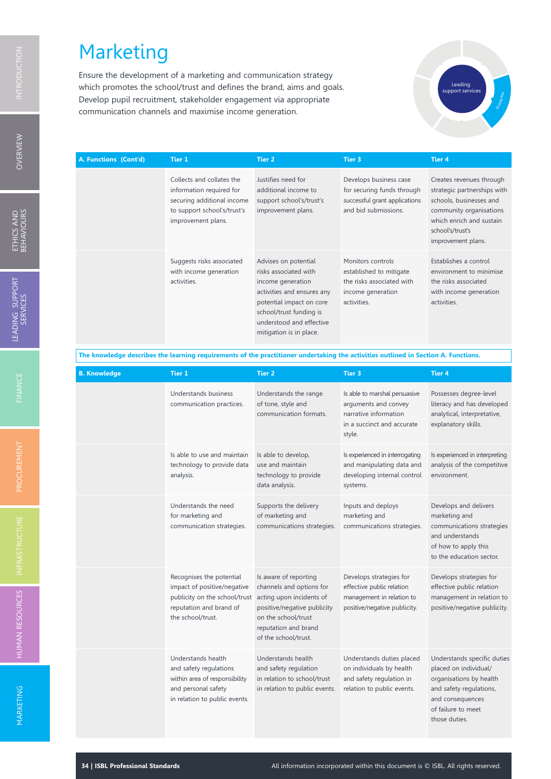Ensure the development of a marketing and communication strategy which promotes the school/trust and defines the brand, aims and goals. Develop pupil recruitment, stakeholder engagement via appropriate communication channels and maximise income generation.



| A. Functions (Cont'd) | <b>Tier 1</b>                                                                                                                            | <b>Tier 2</b>                                                                                                                                                                                                  | Tier 3                                                                                                        | <b>Tier 4</b>                                                                                                                                                                       |
|-----------------------|------------------------------------------------------------------------------------------------------------------------------------------|----------------------------------------------------------------------------------------------------------------------------------------------------------------------------------------------------------------|---------------------------------------------------------------------------------------------------------------|-------------------------------------------------------------------------------------------------------------------------------------------------------------------------------------|
|                       | Collects and collates the<br>information required for<br>securing additional income<br>to support school's/trust's<br>improvement plans. | Justifies need for<br>additional income to<br>support school's/trust's<br>improvement plans.                                                                                                                   | Develops business case<br>for securing funds through<br>successful grant applications<br>and bid submissions. | Creates revenues through<br>strategic partnerships with<br>schools, businesses and<br>community organisations<br>which enrich and sustain<br>school's/trust's<br>improvement plans. |
|                       | Suggests risks associated<br>with income generation<br>activities.                                                                       | Advises on potential<br>risks associated with<br>income generation<br>activities and ensures any<br>potential impact on core<br>school/trust funding is<br>understood and effective<br>mitigation is in place. | Monitors controls<br>established to mitigate<br>the risks associated with<br>income generation<br>activities. | Establishes a control<br>environment to minimise<br>the risks associated<br>with income generation<br>activities.                                                                   |

The knowledge describes the learning requirements of the practitioner undertaking the activities outlined in Section A. Functions.

| <b>B. Knowledge</b> | Tier 1                                                                                                                                   | <b>Tier 2</b>                                                                                                                                                                       | Tier <sub>3</sub>                                                                                                      | <b>Tier 4</b>                                                                                                                                                         |
|---------------------|------------------------------------------------------------------------------------------------------------------------------------------|-------------------------------------------------------------------------------------------------------------------------------------------------------------------------------------|------------------------------------------------------------------------------------------------------------------------|-----------------------------------------------------------------------------------------------------------------------------------------------------------------------|
|                     | Understands business<br>communication practices.                                                                                         | Understands the range<br>of tone, style and<br>communication formats.                                                                                                               | Is able to marshal persuasive<br>arguments and convey<br>narrative information<br>in a succinct and accurate<br>style. | Possesses degree-level<br>literacy and has developed<br>analytical, interpretative,<br>explanatory skills.                                                            |
|                     | Is able to use and maintain<br>technology to provide data<br>analysis.                                                                   | Is able to develop,<br>use and maintain<br>technology to provide<br>data analysis.                                                                                                  | Is experienced in interrogating<br>and manipulating data and<br>developing internal control<br>systems.                | Is experienced in interpreting<br>analysis of the competitive<br>environment.                                                                                         |
|                     | Understands the need<br>for marketing and<br>communication strategies.                                                                   | Supports the delivery<br>of marketing and<br>communications strategies.                                                                                                             | Inputs and deploys<br>marketing and<br>communications strategies.                                                      | Develops and delivers<br>marketing and<br>communications strategies<br>and understands<br>of how to apply this<br>to the education sector.                            |
|                     | Recognises the potential<br>impact of positive/negative<br>publicity on the school/trust<br>reputation and brand of<br>the school/trust. | Is aware of reporting<br>channels and options for<br>acting upon incidents of<br>positive/negative publicity<br>on the school/trust<br>reputation and brand<br>of the school/trust. | Develops strategies for<br>effective public relation<br>management in relation to<br>positive/negative publicity.      | Develops strategies for<br>effective public relation<br>management in relation to<br>positive/negative publicity.                                                     |
|                     | Understands health<br>and safety regulations<br>within area of responsibility<br>and personal safety<br>in relation to public events.    | Understands health<br>and safety regulation<br>in relation to school/trust<br>in relation to public events.                                                                         | Understands duties placed<br>on individuals by health<br>and safety regulation in<br>relation to public events.        | Understands specific duties<br>placed on individual/<br>organisations by health<br>and safety regulations,<br>and consequences<br>of failure to meet<br>those duties. |

O VERVIEW

INFRASTRUCTURE

M ARKETIN G